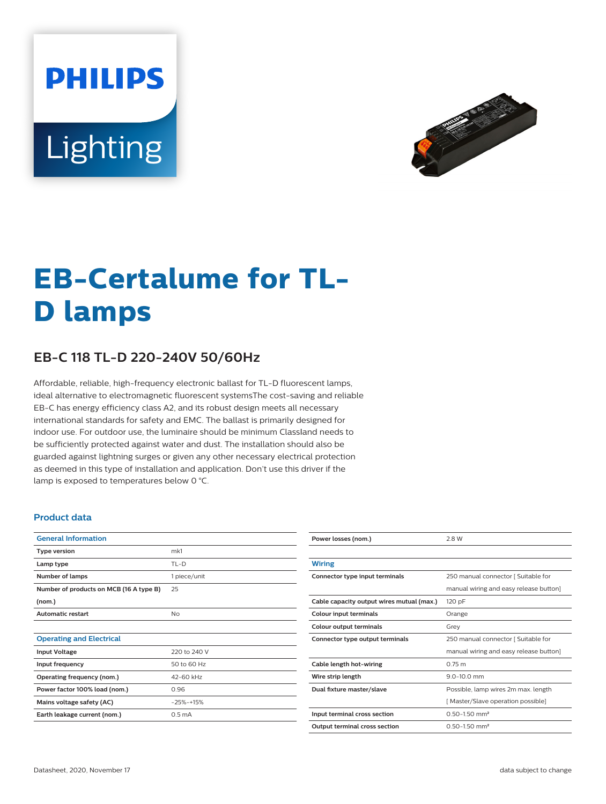# **PHILIPS** Lighting



# **EB-Certalume for TL-D lamps**

## **EB-C 118 TL-D 220-240V 50/60Hz**

Affordable, reliable, high-frequency electronic ballast for TL-D fluorescent lamps, ideal alternative to electromagnetic fluorescent systemsThe cost-saving and reliable EB-C has energy efficiency class A2, and its robust design meets all necessary international standards for safety and EMC. The ballast is primarily designed for indoor use. For outdoor use, the luminaire should be minimum Classland needs to be sufficiently protected against water and dust. The installation should also be guarded against lightning surges or given any other necessary electrical protection as deemed in this type of installation and application. Don't use this driver if the lamp is exposed to temperatures below 0 °C.

#### **Product data**

| <b>General Information</b>              |                    |  |  |
|-----------------------------------------|--------------------|--|--|
| <b>Type version</b>                     | mk1                |  |  |
| Lamp type                               | $TL-D$             |  |  |
| Number of lamps                         | 1 piece/unit       |  |  |
| Number of products on MCB (16 A type B) | 25                 |  |  |
| (nom.)                                  |                    |  |  |
| <b>Automatic restart</b>                | No                 |  |  |
|                                         |                    |  |  |
| <b>Operating and Electrical</b>         |                    |  |  |
| <b>Input Voltage</b>                    | 220 to 240 V       |  |  |
| Input frequency                         | 50 to 60 Hz        |  |  |
| Operating frequency (nom.)              | 42-60 kHz          |  |  |
| Power factor 100% load (nom.)           | 0.96               |  |  |
| Mains voltage safety (AC)               | $-25% - +15%$      |  |  |
| Earth leakage current (nom.)            | 0.5 <sub>m</sub> A |  |  |
|                                         |                    |  |  |

| Power losses (nom.)                       | 2.8 W                                  |  |  |
|-------------------------------------------|----------------------------------------|--|--|
|                                           |                                        |  |  |
| Wiring                                    |                                        |  |  |
| Connector type input terminals            | 250 manual connector [ Suitable for    |  |  |
|                                           | manual wiring and easy release button] |  |  |
| Cable capacity output wires mutual (max.) | 120 pF                                 |  |  |
| Colour input terminals                    | Orange                                 |  |  |
| Colour output terminals                   | Grev                                   |  |  |
| Connector type output terminals           | 250 manual connector [ Suitable for    |  |  |
|                                           | manual wiring and easy release button] |  |  |
| Cable length hot-wiring                   | 0.75 m                                 |  |  |
| Wire strip length                         | $9.0 - 10.0$ mm                        |  |  |
| Dual fixture master/slave                 | Possible, lamp wires 2m max. length    |  |  |
|                                           | [Master/Slave operation possible]      |  |  |
| Input terminal cross section              | $0.50 - 1.50$ mm <sup>2</sup>          |  |  |
| <b>Output terminal cross section</b>      | $0.50 - 1.50$ mm <sup>2</sup>          |  |  |
|                                           |                                        |  |  |